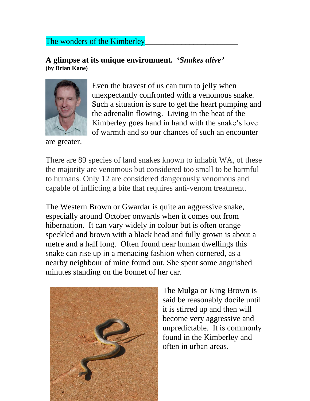## The wonders of the Kimberley

## **A glimpse at its unique environment. '***Snakes alive'* **(by Brian Kane)**



are greater.

Even the bravest of us can turn to jelly when unexpectantly confronted with a venomous snake. Such a situation is sure to get the heart pumping and the adrenalin flowing. Living in the heat of the Kimberley goes hand in hand with the snake's love of warmth and so our chances of such an encounter

There are 89 species of land snakes known to inhabit WA, of these the majority are venomous but considered too small to be harmful to humans. Only 12 are considered dangerously venomous and capable of inflicting a bite that requires anti-venom treatment.

The Western Brown or Gwardar is quite an aggressive snake, especially around October onwards when it comes out from hibernation. It can vary widely in colour but is often orange speckled and brown with a black head and fully grown is about a metre and a half long. Often found near human dwellings this snake can rise up in a menacing fashion when cornered, as a nearby neighbour of mine found out. She spent some anguished minutes standing on the bonnet of her car.



The Mulga or King Brown is said be reasonably docile until it is stirred up and then will become very aggressive and unpredictable. It is commonly found in the Kimberley and often in urban areas.